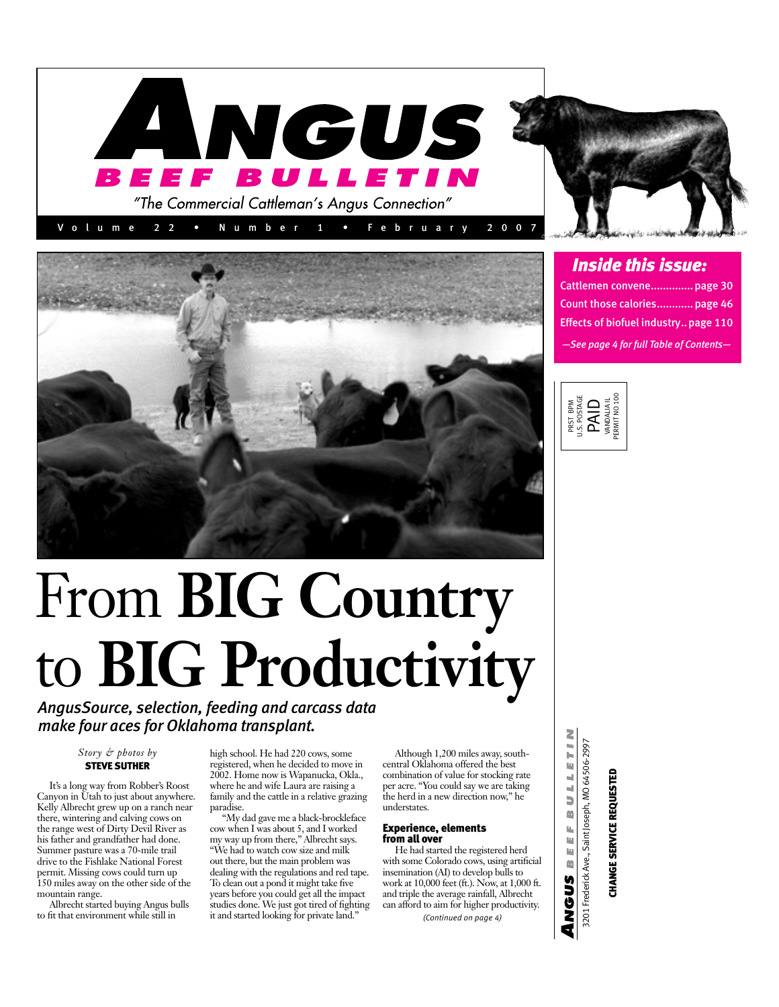



# From **BIG Country** to **BIG Productivity** *AngusSource, selection, feeding and carcass data*

*make four aces for Oklahoma transplant.*

# *Story & photos by*  STEVE SUTHER

It's a long way from Robber's Roost Canyon in Utah to just about anywhere. Kelly Albrecht grew up on a ranch near there, wintering and calving cows on the range west of Dirty Devil River as his father and grandfather had done. Summer pasture was a 70-mile trail drive to the Fishlake National Forest permit. Missing cows could turn up 150 miles away on the other side of the mountain range.

Albrecht started buying Angus bulls to fit that environment while still in

high school. He had 220 cows, some registered, when he decided to move in 2002. Home now is Wapanucka, Okla., where he and wife Laura are raising a family and the cattle in a relative grazing paradise.

"My dad gave me a black-brockleface cow when I was about 5, and I worked my way up from there," Albrecht says. "We had to watch cow size and milk out there, but the main problem was dealing with the regulations and red tape. To clean out a pond it might take five years before you could get all the impact studies done. We just got tired of fighting it and started looking for private land."

Although 1,200 miles away, southcentral Oklahoma offered the best combination of value for stocking rate per acre. "You could say we are taking the herd in a new direction now," he understates.

## Experience, elements from all over

He had started the registered herd with some Colorado cows, using artificial insemination (AI) to develop bulls to work at 10,000 feet (ft.). Now, at 1,000 ft. and triple the average rainfall, Albrecht can afford to aim for higher productivity. *(Continued on page 4)*

*Inside this issue:*

| Cattlemen convene page 30                     |
|-----------------------------------------------|
| Count those calories page 46                  |
| <b>Effects of biofuel industry., page 110</b> |
| $-$ See page 4 for full Table of Contents $-$ |



3201 Frederick Ave., Saint Joseph, MO 64506-2997<br>**CHANGE SERVICE REQUESTED** 3201 Frederick Ave., Saint Joseph, MO 64506-2997 **CHANGE SERVICE REQUESTED** 

2

BULLETI

i. ù. Щ M

ANGUS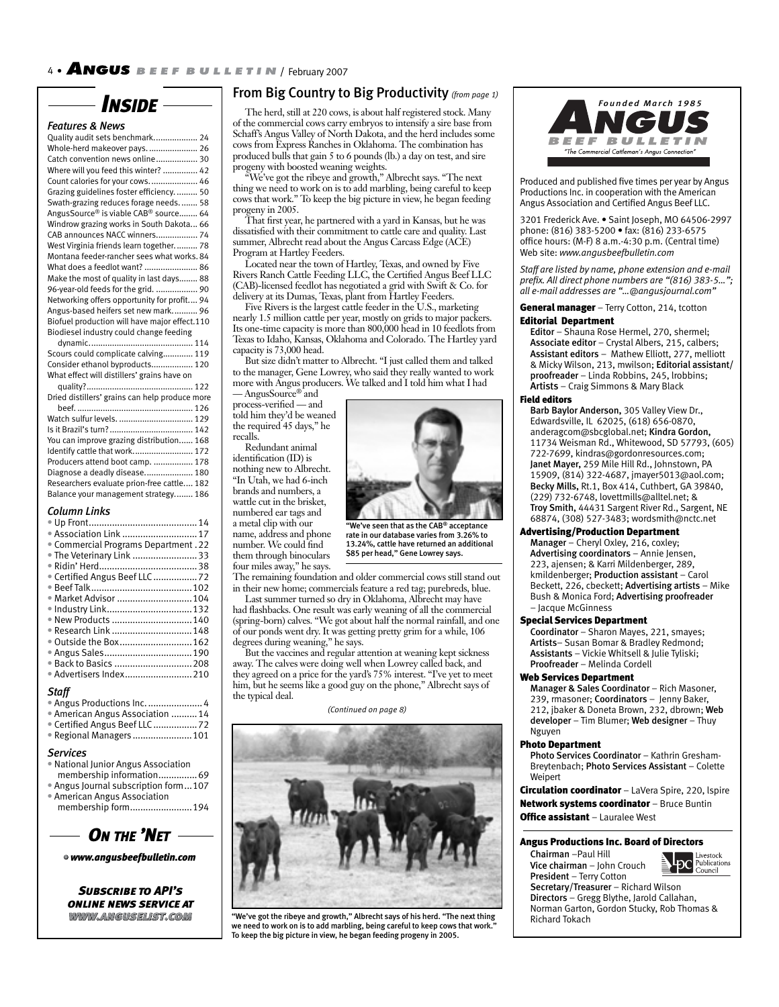

## *Features & News*

| Quality audit sets benchmark 24               |  |
|-----------------------------------------------|--|
| Whole-herd makeover pays.  26                 |  |
| Catch convention news online 30               |  |
| Where will you feed this winter?  42          |  |
| Count calories for your cows.  46             |  |
| Grazing guidelines foster efficiency 50       |  |
| Swath-grazing reduces forage needs 58         |  |
| AngusSource® is viable CAB® source 64         |  |
| Windrow grazing works in South Dakota 66      |  |
| CAB announces NACC winners 74                 |  |
| West Virginia friends learn together 78       |  |
| Montana feeder-rancher sees what works. 84    |  |
| What does a feedlot want?  86                 |  |
| Make the most of quality in last days 88      |  |
| 96-year-old feeds for the grid.  90           |  |
| Networking offers opportunity for profit 94   |  |
| Angus-based heifers set new mark 96           |  |
| Biofuel production will have major effect.110 |  |
| Biodiesel industry could change feeding       |  |
|                                               |  |
| Scours could complicate calving 119           |  |
|                                               |  |

Consider ethanol byproducts. ................. 120 What effect will distillers' grains have on quality? .............................................. 122

| Dried distillers' grains can help produce more |
|------------------------------------------------|
|                                                |
| Watch sulfur levels.  129                      |
|                                                |
| You can improve grazing distribution 168       |
| Identify cattle that work 172                  |
| Producers attend boot camp.  178               |
| Diagnose a deadly disease 180                  |
| Researchers evaluate prion-free cattle 182     |
| Balance your management strategy 186           |
|                                                |

### *Column Links*

| • Association Link  17             |  |
|------------------------------------|--|
| Commercial Programs Department. 22 |  |
| . The Veterinary Link  33          |  |
|                                    |  |
| Certified Angus Beef LLC  72       |  |
|                                    |  |
| Market Advisor  104                |  |
|                                    |  |
| New Products 140                   |  |
| Research Link 148                  |  |
| Outside the Box162                 |  |
| Angus Sales190                     |  |
| ● Back to Basics 208               |  |
| · Advertisers Index210             |  |
|                                    |  |

# *Staff*

| Angus Productions Inc 4          |  |
|----------------------------------|--|
| • American Angus Association  14 |  |
|                                  |  |
| Regional Managers  101           |  |

#### *Services*

- National Junior Angus Association membership information.................69
- Angus Journal subscription form ...107
- American Angus Association
- membership form ........................194

*ON THE 'NET*

• *www.angusbeefbulletin.com*

 *Subscribe to API's online news service at www.anguselist.com ww.anguselist.com*

# From Big Country to Big Productivity *(from page 1)*

The herd, still at 220 cows, is about half registered stock. Many of the commercial cows carry embryos to intensify a sire base from Schaff's Angus Valley of North Dakota, and the herd includes some cows from Express Ranches in Oklahoma. The combination has produced bulls that gain 5 to 6 pounds (lb.) a day on test, and sire progeny with boosted weaning weights.

"We've got the ribeye and growth," Albrecht says. "The next thing we need to work on is to add marbling, being careful to keep cows that work." To keep the big picture in view, he began feeding progeny in 2005.

That first year, he partnered with a yard in Kansas, but he was dissatisfied with their commitment to cattle care and quality. Last summer, Albrecht read about the Angus Carcass Edge (ACE) Program at Hartley Feeders.

Located near the town of Hartley, Texas, and owned by Five Rivers Ranch Cattle Feeding LLC, the Certified Angus Beef LLC (CAB)-licensed feedlot has negotiated a grid with Swift & Co. for delivery at its Dumas, Texas, plant from Hartley Feeders.

Five Rivers is the largest cattle feeder in the U.S., marketing nearly 1.5 million cattle per year, mostly on grids to major packers. Its one-time capacity is more than 800,000 head in 10 feedlots from Texas to Idaho, Kansas, Oklahoma and Colorado. The Hartley yard capacity is 73,000 head.

But size didn't matter to Albrecht. "I just called them and talked to the manager, Gene Lowrey, who said they really wanted to work more with Angus producers. We talked and I told him what I had — AngusSource® and

process-verified — and told him they'd be weaned the required 45 days," he recalls.

Redundant animal identification (ID) is nothing new to Albrecht. "In Utah, we had 6-inch brands and numbers, a wattle cut in the brisket, numbered ear tags and a metal clip with our name, address and phone number. We could find them through binoculars



rate in our database varies from 3.26% to 13.24%, cattle have returned an additional \$85 per head," Gene Lowrey says.

four miles away," he says. The remaining foundation and older commercial cows still stand out in their new home; commercials feature a red tag; purebreds, blue.

Last summer turned so dry in Oklahoma, Albrecht may have had flashbacks. One result was early weaning of all the commercial (spring-born) calves. "We got about half the normal rainfall, and one of our ponds went dry. It was getting pretty grim for a while, 106 degrees during weaning," he says.

But the vaccines and regular attention at weaning kept sickness away. The calves were doing well when Lowrey called back, and they agreed on a price for the yard's 75% interest. "I've yet to meet him, but he seems like a good guy on the phone," Albrecht says of the typical deal.

*(Continued on page 8)*



"We've got the ribeye and growth," Albrecht says of his herd. "The next thing we need to work on is to add marbling, being careful to keep cows that work. To keep the big picture in view, he began feeding progeny in 2005.



Produced and published five times per year by Angus Productions Inc. in cooperation with the American Angus Association and Certified Angus Beef LLC.

3201 Frederick Ave. • Saint Joseph, MO 64506-2997 phone: (816) 383-5200 • fax: (816) 233-6575 office hours: (M-F) 8 a.m.-4:30 p.m. (Central time) Web site: *www.angusbeefbulletin.com*

*Staff are listed by name, phone extension and e-mail*  prefix. All direct phone numbers are "(816) 383-5..."; *all e-mail addresses are "…@angusjournal.com"*

General manager - Terry Cotton, 214, tcotton Editorial Department

Editor – Shauna Rose Hermel, 270, shermel; Associate editor – Crystal Albers, 215, calbers; Assistant editors – Mathew Elliott, 277, melliott & Micky Wilson, 213, mwilson; Editorial assistant/ proofreader – Linda Robbins, 245, lrobbins; Artists – Craig Simmons & Mary Black

#### Field editors

Barb Baylor Anderson, 305 Valley View Dr., Edwardsville, IL 62025, (618) 656-0870, anderagcom@sbcglobal.net; Kindra Gordon, 11734 Weisman Rd., Whitewood, SD 57793, (605) 722-7699, kindras@gordonresources.com; Janet Mayer, 259 Mile Hill Rd., Johnstown, PA 15909, (814) 322-4687, jmayer5013@aol.com; Becky Mills, Rt.1, Box 414, Cuthbert, GA 39840, (229) 732-6748, lovettmills@alltel.net; & Troy Smith, 44431 Sargent River Rd., Sargent, NE 68874, (308) 527-3483; wordsmith@nctc.net

# Advertising/Production Department

Manager – Cheryl Oxley, 216, coxley; Advertising coordinators – Annie Jensen, 223, ajensen; & Karri Mildenberger, 289, kmildenberger; Production assistant – Carol Beckett, 226, cbeckett; Advertising artists – Mike Bush & Monica Ford; Advertising proofreader – Jacque McGinness

#### Special Services Department

Coordinator – Sharon Mayes, 221, smayes; Artists– Susan Bomar & Bradley Redmond; Assistants – Vickie Whitsell & Julie Tyliski; Proofreader – Melinda Cordell

# Web Services Department

Manager & Sales Coordinator – Rich Masoner, 239, rmasoner; Coordinators – Jenny Baker, 212, jbaker & Doneta Brown, 232, dbrown; Web developer – Tim Blumer; Web designer – Thuy Nguyen

#### Photo Department

Photo Services Coordinator – Kathrin Gresham-Breytenbach; Photo Services Assistant – Colette Weipert

Circulation coordinator - LaVera Spire, 220, Ispire Network systems coordinator - Bruce Buntin **Office assistant** – Lauralee West

#### Angus Productions Inc. Board of Directors

Chairman –Paul Hill Vice chairman – John Crouch President – Terry Cotton



Secretary/Treasurer – Richard Wilson Directors – Gregg Blythe, Jarold Callahan, Norman Garton, Gordon Stucky, Rob Thomas & Richard Tokach